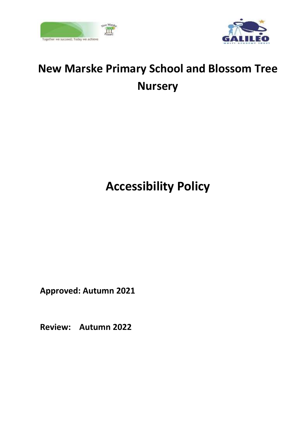



# **New Marske Primary School and Blossom Tree Nursery**

# **Accessibility Policy**

**Approved: Autumn 2021**

**Review: Autumn 2022**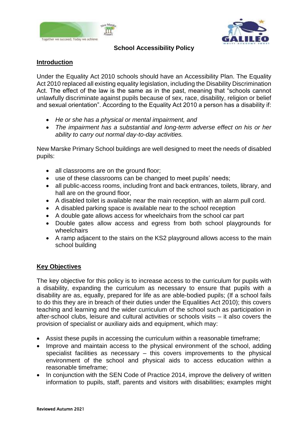



#### **School Accessibility Policy**

## **Introduction**

Under the Equality Act 2010 schools should have an Accessibility Plan. The Equality Act 2010 replaced all existing equality legislation, including the Disability Discrimination Act. The effect of the law is the same as in the past, meaning that "schools cannot unlawfully discriminate against pupils because of sex, race, disability, religion or belief and sexual orientation". According to the Equality Act 2010 a person has a disability if:

- *He or she has a physical or mental impairment, and*
- *The impairment has a substantial and long-term adverse effect on his or her ability to carry out normal day-to-day activities.*

New Marske Primary School buildings are well designed to meet the needs of disabled pupils:

- all classrooms are on the ground floor;
- use of these classrooms can be changed to meet pupils' needs;
- all public-access rooms, including front and back entrances, toilets, library, and hall are on the ground floor,
- A disabled toilet is available near the main reception, with an alarm pull cord.
- A disabled parking space is available near to the school reception
- A double gate allows access for wheelchairs from the school car part
- Double gates allow access and egress from both school playgrounds for wheelchairs
- A ramp adjacent to the stairs on the KS2 playground allows access to the main school building

### **Key Objectives**

The key objective for this policy is to increase access to the curriculum for pupils with a disability, expanding the curriculum as necessary to ensure that pupils with a disability are as, equally, prepared for life as are able-bodied pupils; (If a school fails to do this they are in breach of their duties under the Equalities Act 2010); this covers teaching and learning and the wider curriculum of the school such as participation in after-school clubs, leisure and cultural activities or schools visits – it also covers the provision of specialist or auxiliary aids and equipment, which may:

- Assist these pupils in accessing the curriculum within a reasonable timeframe;
- Improve and maintain access to the physical environment of the school, adding specialist facilities as necessary – this covers improvements to the physical environment of the school and physical aids to access education within a reasonable timeframe;
- In conjunction with the SEN Code of Practice 2014, improve the delivery of written information to pupils, staff, parents and visitors with disabilities; examples might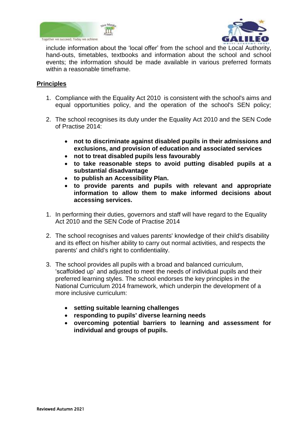



include information about the 'local offer' from the school and the Local Authority, hand-outs, timetables, textbooks and information about the school and school events; the information should be made available in various preferred formats within a reasonable timeframe.

#### **Principles**

- 1. Compliance with the Equality Act 2010 is consistent with the school's aims and equal opportunities policy, and the operation of the school's SEN policy;
- 2. The school recognises its duty under the Equality Act 2010 and the SEN Code of Practise 2014:
	- **not to discriminate against disabled pupils in their admissions and exclusions, and provision of education and associated services**
	- **not to treat disabled pupils less favourably**
	- **to take reasonable steps to avoid putting disabled pupils at a substantial disadvantage**
	- **to publish an Accessibility Plan.**
	- **to provide parents and pupils with relevant and appropriate information to allow them to make informed decisions about accessing services.**
- 1. In performing their duties, governors and staff will have regard to the Equality Act 2010 and the SEN Code of Practise 2014
- 2. The school recognises and values parents' knowledge of their child's disability and its effect on his/her ability to carry out normal activities, and respects the parents' and child's right to confidentiality.
- 3. The school provides all pupils with a broad and balanced curriculum, 'scaffolded up' and adjusted to meet the needs of individual pupils and their preferred learning styles. The school endorses the key principles in the National Curriculum 2014 framework, which underpin the development of a more inclusive curriculum:
	- **setting suitable learning challenges**
	- **responding to pupils' diverse learning needs**
	- **overcoming potential barriers to learning and assessment for individual and groups of pupils.**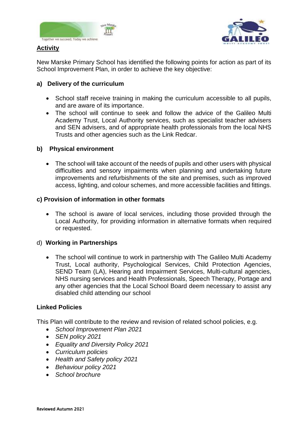



#### **Activity**

New Marske Primary School has identified the following points for action as part of its School Improvement Plan, in order to achieve the key objective:

### **a) Delivery of the curriculum**

- School staff receive training in making the curriculum accessible to all pupils, and are aware of its importance.
- The school will continue to seek and follow the advice of the Galileo Multi Academy Trust, Local Authority services, such as specialist teacher advisers and SEN advisers, and of appropriate health professionals from the local NHS Trusts and other agencies such as the Link Redcar.

#### **b) Physical environment**

• The school will take account of the needs of pupils and other users with physical difficulties and sensory impairments when planning and undertaking future improvements and refurbishments of the site and premises, such as improved access, lighting, and colour schemes, and more accessible facilities and fittings.

#### **c) Provision of information in other formats**

• The school is aware of local services, including those provided through the Local Authority, for providing information in alternative formats when required or requested.

#### d) **Working in Partnerships**

• The school will continue to work in partnership with The Galileo Multi Academy Trust, Local authority, Psychological Services, Child Protection Agencies, SEND Team (LA), Hearing and Impairment Services, Multi-cultural agencies, NHS nursing services and Health Professionals, Speech Therapy, Portage and any other agencies that the Local School Board deem necessary to assist any disabled child attending our school

#### **Linked Policies**

This Plan will contribute to the review and revision of related school policies, e.g.

- *School Improvement Plan 2021*
- *SEN policy 2021*
- *Equality and Diversity Policy 2021*
- *Curriculum policies*
- *Health and Safety policy 2021*
- *Behaviour policy 2021*
- *School brochure*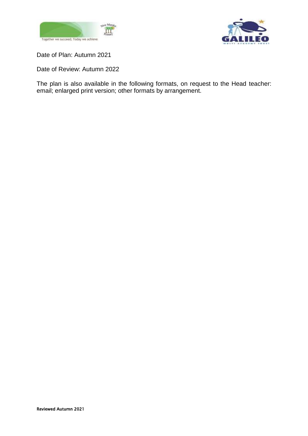



Date of Plan: Autumn 2021

Date of Review: Autumn 2022

The plan is also available in the following formats, on request to the Head teacher: email; enlarged print version; other formats by arrangement.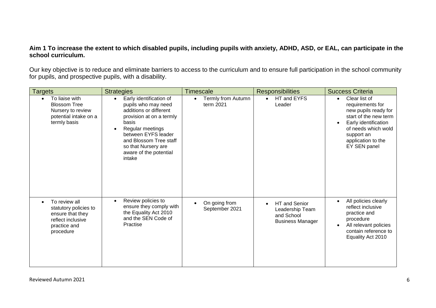#### **Aim 1 To increase the extent to which disabled pupils, including pupils with anxiety, ADHD, ASD, or EAL, can participate in the school curriculum.**

Our key objective is to reduce and eliminate barriers to access to the curriculum and to ensure full participation in the school community for pupils, and prospective pupils, with a disability.

| <b>Targets</b>                                                                                               | <b>Strategies</b>                                                                                                                                                                                                                                                       | <b>Timescale</b>                | <b>Responsibilities</b>                                                                       | <b>Success Criteria</b>                                                                                                                                                                            |
|--------------------------------------------------------------------------------------------------------------|-------------------------------------------------------------------------------------------------------------------------------------------------------------------------------------------------------------------------------------------------------------------------|---------------------------------|-----------------------------------------------------------------------------------------------|----------------------------------------------------------------------------------------------------------------------------------------------------------------------------------------------------|
| To liaise with<br><b>Blossom Tree</b><br>Nursery to review<br>potential intake on a<br>termly basis          | Early identification of<br>$\bullet$<br>pupils who may need<br>additions or different<br>provision at on a termly<br>basis<br>Regular meetings<br>$\bullet$<br>between EYFS leader<br>and Blossom Tree staff<br>so that Nursery are<br>aware of the potential<br>intake | Termly from Autumn<br>term 2021 | HT and EYFS<br>Leader                                                                         | Clear list of<br>$\bullet$<br>requirements for<br>new pupils ready for<br>start of the new term<br>Early identification<br>of needs which wold<br>support an<br>application to the<br>EY SEN panel |
| To review all<br>statutory policies to<br>ensure that they<br>reflect inclusive<br>practice and<br>procedure | Review policies to<br>$\bullet$<br>ensure they comply with<br>the Equality Act 2010<br>and the SEN Code of<br>Practise                                                                                                                                                  | On going from<br>September 2021 | <b>HT</b> and Senior<br>$\bullet$<br>Leadership Team<br>and School<br><b>Business Manager</b> | All policies clearly<br>$\bullet$<br>reflect inclusive<br>practice and<br>procedure<br>All relevant policies<br>contain reference to<br>Equality Act 2010                                          |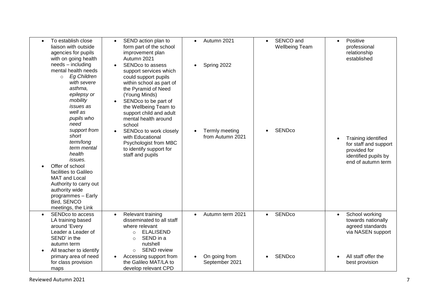| To establish close<br>liaison with outside<br>agencies for pupils<br>with on going health                                                                                                                                                                                                                                                                                                                                  | SEND action plan to<br>$\bullet$<br>form part of the school<br>improvement plan<br>Autumn 2021                                                                                                                                                                                                                                                                                                       | Autumn 2021                                       | SENCO and<br>$\bullet$<br><b>Wellbeing Team</b> | Positive<br>$\bullet$<br>professional<br>relationship<br>established                                       |
|----------------------------------------------------------------------------------------------------------------------------------------------------------------------------------------------------------------------------------------------------------------------------------------------------------------------------------------------------------------------------------------------------------------------------|------------------------------------------------------------------------------------------------------------------------------------------------------------------------------------------------------------------------------------------------------------------------------------------------------------------------------------------------------------------------------------------------------|---------------------------------------------------|-------------------------------------------------|------------------------------------------------------------------------------------------------------------|
| needs - including<br>mental health needs<br><b>Eg Children</b><br>$\circ$<br>with severe<br>asthma,<br>epilepsy or<br>mobility<br>issues as<br>well as<br>pupils who<br>need<br>support from<br>short<br>term/long<br>term mental<br>health<br>issues.<br>Offer of school<br>facilities to Galileo<br>MAT and Local<br>Authority to carry out<br>authority wide<br>programmes - Early<br>Bird, SENCO<br>meetings, the Link | SENDco to assess<br>$\bullet$<br>support services which<br>could support pupils<br>within school as part of<br>the Pyramid of Need<br>(Young Minds)<br>SENDco to be part of<br>$\bullet$<br>the Wellbeing Team to<br>support child and adult<br>mental health around<br>school<br>SENDco to work closely<br>with Educational<br>Psychologist from MBC<br>to identify support for<br>staff and pupils | Spring 2022<br>Termly meeting<br>from Autumn 2021 | <b>SENDco</b>                                   | Training identified<br>for staff and support<br>provided for<br>identified pupils by<br>end of autumn term |
| SENDco to access<br>$\bullet$<br>LA training based<br>around 'Every<br>Leader a Leader of<br>SEND' in the<br>autumn term<br>All teacher to identify                                                                                                                                                                                                                                                                        | Relevant training<br>$\bullet$<br>disseminated to all staff<br>where relevant<br><b>ELALISEND</b><br>$\circ$<br>SEND in a<br>$\circ$<br>nutshell<br><b>SEND review</b><br>$\circ$                                                                                                                                                                                                                    | Autumn term 2021<br>$\bullet$                     | <b>SENDco</b><br>$\bullet$                      | School working<br>$\bullet$<br>towards nationally<br>agreed standards<br>via NASEN support                 |
| primary area of need<br>for class provision<br>maps                                                                                                                                                                                                                                                                                                                                                                        | Accessing support from<br>the Galileo MAT/LA to<br>develop relevant CPD                                                                                                                                                                                                                                                                                                                              | On going from<br>September 2021                   | <b>SENDco</b>                                   | All staff offer the<br>best provision                                                                      |

Reviewed Autumn 202 1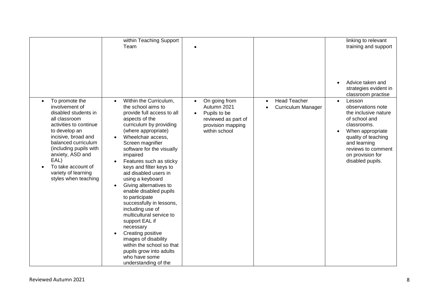|                                                                                                                                                                                                                                                                                               | within Teaching Support<br>Team                                                                                                                                                                                                                                                                                                                                                                                                                                                                                                                                                                                                                                                               |                                                                                                                        |                                                               | linking to relevant<br>training and support                                                                                                                                                                                                     |
|-----------------------------------------------------------------------------------------------------------------------------------------------------------------------------------------------------------------------------------------------------------------------------------------------|-----------------------------------------------------------------------------------------------------------------------------------------------------------------------------------------------------------------------------------------------------------------------------------------------------------------------------------------------------------------------------------------------------------------------------------------------------------------------------------------------------------------------------------------------------------------------------------------------------------------------------------------------------------------------------------------------|------------------------------------------------------------------------------------------------------------------------|---------------------------------------------------------------|-------------------------------------------------------------------------------------------------------------------------------------------------------------------------------------------------------------------------------------------------|
|                                                                                                                                                                                                                                                                                               |                                                                                                                                                                                                                                                                                                                                                                                                                                                                                                                                                                                                                                                                                               |                                                                                                                        |                                                               | Advice taken and<br>strategies evident in                                                                                                                                                                                                       |
| To promote the<br>involvement of<br>disabled students in<br>all classroom<br>activities to continue<br>to develop an<br>incisive, broad and<br>balanced curriculum<br>(including pupils with<br>anxiety, ASD and<br>EAL)<br>To take account of<br>variety of learning<br>styles when teaching | Within the Curriculum,<br>$\bullet$<br>the school aims to<br>provide full access to all<br>aspects of the<br>curriculum by providing<br>(where appropriate)<br>Wheelchair access,<br>Screen magnifier<br>software for the visually<br>impaired<br>Features such as sticky<br>keys and filter keys to<br>aid disabled users in<br>using a keyboard<br>Giving alternatives to<br>$\bullet$<br>enable disabled pupils<br>to participate<br>successfully in lessons,<br>including use of<br>multicultural service to<br>support EAL if<br>necessary<br>Creating positive<br>images of disability<br>within the school so that<br>pupils grow into adults<br>who have some<br>understanding of the | On going from<br>Autumn 2021<br>Pupils to be<br>$\bullet$<br>reviewed as part of<br>provision mapping<br>within school | <b>Head Teacher</b><br>$\bullet$<br><b>Curriculum Manager</b> | classroom practise<br>Lesson<br>$\bullet$<br>observations note<br>the inclusive nature<br>of school and<br>classrooms.<br>When appropriate<br>quality of teaching<br>and learning<br>reviews to comment<br>on provision for<br>disabled pupils. |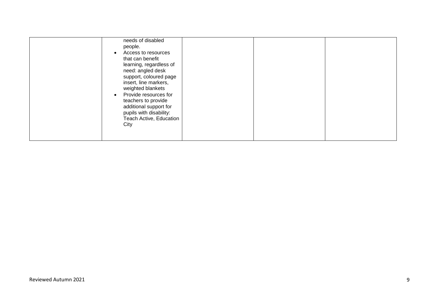| needs of disabled<br>people.<br>Access to resources<br>$\bullet$<br>that can benefit<br>learning, regardless of<br>need: angled desk<br>support, coloured page<br>insert, line markers,<br>weighted blankets<br>Provide resources for<br>$\bullet$<br>teachers to provide<br>additional support for<br>pupils with disability:<br>Teach Active, Education<br>City |  |  |
|-------------------------------------------------------------------------------------------------------------------------------------------------------------------------------------------------------------------------------------------------------------------------------------------------------------------------------------------------------------------|--|--|
|-------------------------------------------------------------------------------------------------------------------------------------------------------------------------------------------------------------------------------------------------------------------------------------------------------------------------------------------------------------------|--|--|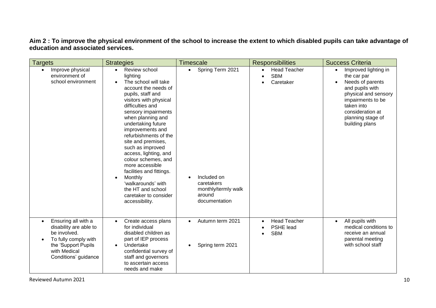#### **Aim 2 : To improve the physical environment of the school to increase the extent to which disabled pupils can take advantage of education and associated services.**

| <b>Targets</b>                                                                                                                                       | <b>Strategies</b>                                                                                                                                                                                                                                                                                                                                                                                                                                                                                     | <b>Timescale</b>                                                                                             | <b>Responsibilities</b>                        | <b>Success Criteria</b>                                                                                                                                                                          |
|------------------------------------------------------------------------------------------------------------------------------------------------------|-------------------------------------------------------------------------------------------------------------------------------------------------------------------------------------------------------------------------------------------------------------------------------------------------------------------------------------------------------------------------------------------------------------------------------------------------------------------------------------------------------|--------------------------------------------------------------------------------------------------------------|------------------------------------------------|--------------------------------------------------------------------------------------------------------------------------------------------------------------------------------------------------|
| Improve physical<br>$\bullet$<br>environment of<br>school environment                                                                                | Review school<br>lighting<br>The school will take<br>account the needs of<br>pupils, staff and<br>visitors with physical<br>difficulties and<br>sensory impairments<br>when planning and<br>undertaking future<br>improvements and<br>refurbishments of the<br>site and premises,<br>such as improved<br>access, lighting, and<br>colour schemes, and<br>more accessible<br>facilities and fittings.<br>Monthly<br>'walkarounds' with<br>the HT and school<br>caretaker to consider<br>accessibility. | Spring Term 2021<br>$\bullet$<br>Included on<br>caretakers<br>monthly/termly walk<br>around<br>documentation | <b>Head Teacher</b><br><b>SBM</b><br>Caretaker | Improved lighting in<br>the car par<br>Needs of parents<br>and pupils with<br>physical and sensory<br>impairments to be<br>taken into<br>consideration at<br>planning stage of<br>building plans |
| Ensuring all with a<br>disability are able to<br>be involved.<br>To fully comply with<br>the 'Support Pupils<br>with Medical<br>Conditions' guidance | Create access plans<br>$\bullet$<br>for individual<br>disabled children as<br>part of IEP process<br>Undertake<br>$\bullet$<br>confidential survey of<br>staff and governors<br>to ascertain access<br>needs and make                                                                                                                                                                                                                                                                                 | Autumn term 2021<br>$\bullet$<br>Spring term 2021<br>$\bullet$                                               | <b>Head Teacher</b><br>PSHE lead<br><b>SBM</b> | All pupils with<br>$\bullet$<br>medical conditions to<br>receive an annual<br>parental meeting<br>with school staff                                                                              |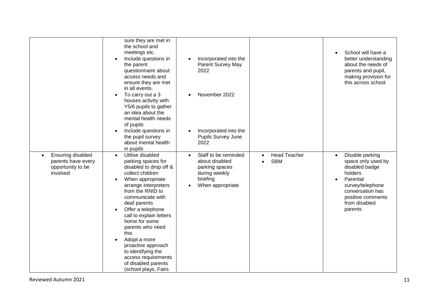|                                                                          | sure they are met in<br>the school and<br>meetings etc.<br>Include questions in<br>$\bullet$<br>the parent<br>questionnaire about<br>access needs and<br>ensure they are met<br>in all events.                                                                                                                                                                                                                                                                                           | Incorporated into the<br>$\bullet$<br>Parent Survey May<br>2022                                                                     |                                                             | School will have a<br>$\bullet$<br>better understanding<br>about the needs of<br>parents and pupil,<br>making provision for<br>this across school                                                 |
|--------------------------------------------------------------------------|------------------------------------------------------------------------------------------------------------------------------------------------------------------------------------------------------------------------------------------------------------------------------------------------------------------------------------------------------------------------------------------------------------------------------------------------------------------------------------------|-------------------------------------------------------------------------------------------------------------------------------------|-------------------------------------------------------------|---------------------------------------------------------------------------------------------------------------------------------------------------------------------------------------------------|
|                                                                          | To carry out a 3<br>$\bullet$<br>houses activity with<br>Y5/6 pupils to gather<br>an idea about the<br>mental health needs<br>of pupils<br>Include questions in<br>the pupil survey<br>about mental health                                                                                                                                                                                                                                                                               | November 2022<br>$\bullet$<br>Incorporated into the<br>$\bullet$<br>Pupils Survey June<br>2022                                      |                                                             |                                                                                                                                                                                                   |
| Ensuring disabled<br>parents have every<br>opportunity to be<br>involved | in pupils<br>Utilise disabled<br>$\bullet$<br>parking spaces for<br>disabled to drop off &<br>collect children<br>When appropriate<br>$\bullet$<br>arrange interpreters<br>from the RNID to<br>communicate with<br>deaf parents<br>Offer a telephone<br>$\bullet$<br>call to explain letters<br>home for some<br>parents who need<br>this<br>Adopt a more<br>$\bullet$<br>proactive approach<br>to identifying the<br>access requirements<br>of disabled parents<br>(school plays, Fairs | Staff to be reminded<br>$\bullet$<br>about disabled<br>parking spaces<br>during weekly<br>briefing<br>When appropriate<br>$\bullet$ | <b>Head Teacher</b><br>$\bullet$<br><b>SBM</b><br>$\bullet$ | Disable parking<br>$\bullet$<br>space only used by<br>disabled badge<br>holders<br>Parental<br>$\bullet$<br>survey/telephone<br>conversation has<br>positive comments<br>from disabled<br>parents |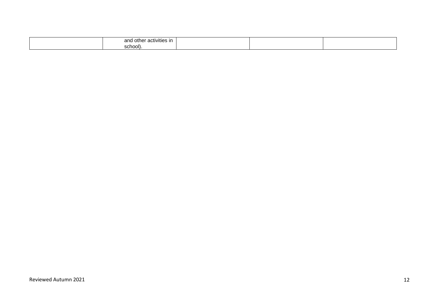| and other<br>activities in |  |  |
|----------------------------|--|--|
| ____<br>school)            |  |  |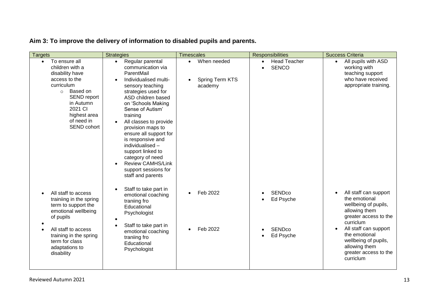# **Aim 3: To improve the delivery of information to disabled pupils and parents.**

| <b>Targets</b>                                                                                                                                                                                             | <b>Strategies</b>                                                                                                                                                                                                                                                                                                                                                                                                                                    | <b>Timescales</b>                                                   | <b>Responsibilities</b>                          | <b>Success Criteria</b>                                                                                               |
|------------------------------------------------------------------------------------------------------------------------------------------------------------------------------------------------------------|------------------------------------------------------------------------------------------------------------------------------------------------------------------------------------------------------------------------------------------------------------------------------------------------------------------------------------------------------------------------------------------------------------------------------------------------------|---------------------------------------------------------------------|--------------------------------------------------|-----------------------------------------------------------------------------------------------------------------------|
| To ensure all<br>$\bullet$<br>children with a<br>disability have<br>access to the<br>curriculum<br>Based on<br>$\circ$<br>SEND report<br>in Autumn<br>2021 CI<br>highest area<br>of need in<br>SEND cohort | Regular parental<br>$\bullet$<br>communication via<br>ParentMail<br>Individualised multi-<br>sensory teaching<br>strategies used for<br>ASD children based<br>on 'Schools Making<br>Sense of Autism'<br>training<br>All classes to provide<br>provision maps to<br>ensure all support for<br>is responsive and<br>individualised -<br>support linked to<br>category of need<br><b>Review CAMHS/Link</b><br>support sessions for<br>staff and parents | When needed<br>$\bullet$<br>Spring Term KTS<br>$\bullet$<br>academy | <b>Head Teacher</b><br>$\bullet$<br><b>SENCO</b> | All pupils with ASD<br>$\bullet$<br>working with<br>teaching support<br>who have received<br>appropriate training.    |
| All staff to access<br>trainiing in the spring<br>term to support the<br>emotional wellbeing<br>of pupils                                                                                                  | Staff to take part in<br>emotional coaching<br>traniing fro<br>Educational<br>Psychologist                                                                                                                                                                                                                                                                                                                                                           | Feb 2022<br>$\bullet$                                               | <b>SENDco</b><br>Ed Psyche                       | All staff can support<br>the emotional<br>wellbeing of pupils,<br>allowing them<br>greater access to the<br>curriclum |
| All staff to access<br>training in the spring<br>term for class<br>adaptations to<br>disability                                                                                                            | Staff to take part in<br>emotional coaching<br>traniing fro<br>Educational<br>Psychologist                                                                                                                                                                                                                                                                                                                                                           | Feb 2022                                                            | SENDco<br>Ed Psyche                              | All staff can support<br>the emotional<br>wellbeing of pupils,<br>allowing them<br>greater access to the<br>curriclum |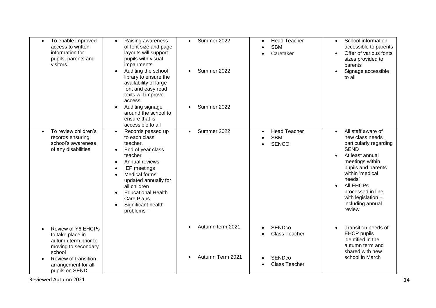| To enable improved<br>access to written<br>information for<br>pupils, parents and<br>visitors.                                                                   | Raising awareness<br>$\bullet$<br>of font size and page<br>layouts will support<br>pupils with visual<br>impairments.<br>Auditing the school<br>library to ensure the<br>availability of large<br>font and easy read<br>texts will improve<br>access.                                                  | Summer 2022<br>$\bullet$<br>Summer 2022<br>$\bullet$ | <b>Head Teacher</b><br>$\bullet$<br><b>SBM</b><br>$\bullet$<br>Caretaker<br>$\bullet$       | School information<br>$\bullet$<br>accessible to parents<br>Offer of various fonts<br>$\bullet$<br>sizes provided to<br>parents<br>Signage accessible<br>to all                                                                                                            |
|------------------------------------------------------------------------------------------------------------------------------------------------------------------|--------------------------------------------------------------------------------------------------------------------------------------------------------------------------------------------------------------------------------------------------------------------------------------------------------|------------------------------------------------------|---------------------------------------------------------------------------------------------|----------------------------------------------------------------------------------------------------------------------------------------------------------------------------------------------------------------------------------------------------------------------------|
|                                                                                                                                                                  | Auditing signage<br>$\bullet$<br>around the school to<br>ensure that is<br>accessible to all                                                                                                                                                                                                           | Summer 2022                                          |                                                                                             |                                                                                                                                                                                                                                                                            |
| To review children's<br>records ensuring<br>school's awareness<br>of any disabilities                                                                            | Records passed up<br>$\bullet$<br>to each class<br>teacher.<br>End of year class<br>$\bullet$<br>teacher<br>Annual reviews<br><b>IEP</b> meetings<br><b>Medical forms</b><br>updated annually for<br>all children<br><b>Educational Health</b><br><b>Care Plans</b><br>Significant health<br>problems- | Summer 2022<br>$\bullet$                             | <b>Head Teacher</b><br>$\bullet$<br><b>SBM</b><br>$\bullet$<br><b>SENCO</b><br>$\bullet$    | All staff aware of<br>new class needs<br>particularly regarding<br><b>SEND</b><br>At least annual<br>$\bullet$<br>meetings within<br>pupils and parents<br>within 'medical<br>needs'<br>All EHCPs<br>processed in line<br>with legislation -<br>including annual<br>review |
| Review of Y6 EHCPs<br>to take place in<br>autumn term prior to<br>moving to secondary<br>school<br>Review of transition<br>arrangement for all<br>pupils on SEND |                                                                                                                                                                                                                                                                                                        | Autumn term 2021<br>Autumn Term 2021                 | <b>SENDco</b><br><b>Class Teacher</b><br><b>SENDco</b><br>$\bullet$<br><b>Class Teacher</b> | Transition needs of<br><b>EHCP</b> pupils<br>identified in the<br>autumn term and<br>shared with new<br>school in March                                                                                                                                                    |

Reviewed Autumn 202